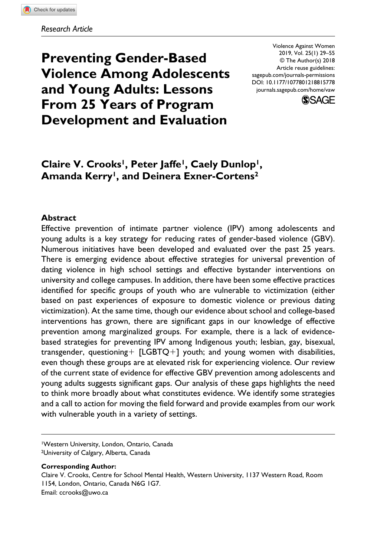**Preventing Gender-Based Violence Among Adolescents and Young Adults: Lessons From 25 Years of Program Development and Evaluation**

https://doi.org/10.1177/1077801218815778 DOI: 10.1177/1077801218815778 Violence Against Women 2019, Vol. 25(1) 29–55 © The Author(s) 2018 Article reuse guidelines: [sagepub.com/journals-permissions](https://us.sagepub.com/en-us/journals-permissions) [journals.sagepub.com/home/vaw](https://journals.sagepub.com/home/vaw)



Claire V. Crooks<sup>1</sup>, Peter Jaffe<sup>1</sup>, Caely Dunlop<sup>1</sup>, Amanda Kerry<sup>1</sup>, and Deinera Exner-Cortens<sup>2</sup>

#### **Abstract**

Effective prevention of intimate partner violence (IPV) among adolescents and young adults is a key strategy for reducing rates of gender-based violence (GBV). Numerous initiatives have been developed and evaluated over the past 25 years. There is emerging evidence about effective strategies for universal prevention of dating violence in high school settings and effective bystander interventions on university and college campuses. In addition, there have been some effective practices identified for specific groups of youth who are vulnerable to victimization (either based on past experiences of exposure to domestic violence or previous dating victimization). At the same time, though our evidence about school and college-based interventions has grown, there are significant gaps in our knowledge of effective prevention among marginalized groups. For example, there is a lack of evidencebased strategies for preventing IPV among Indigenous youth; lesbian, gay, bisexual, transgender, questioning +  $[LGBTQ+]$  youth; and young women with disabilities, even though these groups are at elevated risk for experiencing violence. Our review of the current state of evidence for effective GBV prevention among adolescents and young adults suggests significant gaps. Our analysis of these gaps highlights the need to think more broadly about what constitutes evidence. We identify some strategies and a call to action for moving the field forward and provide examples from our work with vulnerable youth in a variety of settings.

1Western University, London, Ontario, Canada 2University of Calgary, Alberta, Canada

#### **Corresponding Author:**

Claire V. Crooks, Centre for School Mental Health, Western University, 1137 Western Road, Room 1154, London, Ontario, Canada N6G 1G7. Email: [ccrooks@uwo.ca](mailto:ccrooks@uwo.ca)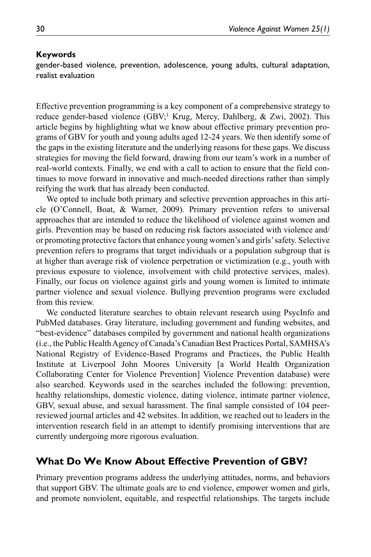#### **Keywords**

gender-based violence, prevention, adolescence, young adults, cultural adaptation, realist evaluation

Effective prevention programming is a key component of a comprehensive strategy to reduce gender-based violence (GBV;<sup>1</sup> Krug, Mercy, Dahlberg, & Zwi, 2002). This article begins by highlighting what we know about effective primary prevention programs of GBV for youth and young adults aged 12-24 years. We then identify some of the gaps in the existing literature and the underlying reasons for these gaps. We discuss strategies for moving the field forward, drawing from our team's work in a number of real-world contexts. Finally, we end with a call to action to ensure that the field continues to move forward in innovative and much-needed directions rather than simply reifying the work that has already been conducted.

We opted to include both primary and selective prevention approaches in this article (O'Connell, Boat, & Warner, 2009). Primary prevention refers to universal approaches that are intended to reduce the likelihood of violence against women and girls. Prevention may be based on reducing risk factors associated with violence and/ or promoting protective factors that enhance young women's and girls' safety. Selective prevention refers to programs that target individuals or a population subgroup that is at higher than average risk of violence perpetration or victimization (e.g., youth with previous exposure to violence, involvement with child protective services, males). Finally, our focus on violence against girls and young women is limited to intimate partner violence and sexual violence. Bullying prevention programs were excluded from this review.

We conducted literature searches to obtain relevant research using PsycInfo and PubMed databases. Gray literature, including government and funding websites, and "best-evidence" databases compiled by government and national health organizations (i.e., the Public Health Agency of Canada's Canadian Best Practices Portal, SAMHSA's National Registry of Evidence-Based Programs and Practices, the Public Health Institute at Liverpool John Moores University [a World Health Organization Collaborating Center for Violence Prevention] Violence Prevention database) were also searched. Keywords used in the searches included the following: prevention, healthy relationships, domestic violence, dating violence, intimate partner violence, GBV, sexual abuse, and sexual harassment. The final sample consisted of 104 peerreviewed journal articles and 42 websites. In addition, we reached out to leaders in the intervention research field in an attempt to identify promising interventions that are currently undergoing more rigorous evaluation.

### **What Do We Know About Effective Prevention of GBV?**

Primary prevention programs address the underlying attitudes, norms, and behaviors that support GBV. The ultimate goals are to end violence, empower women and girls, and promote nonviolent, equitable, and respectful relationships. The targets include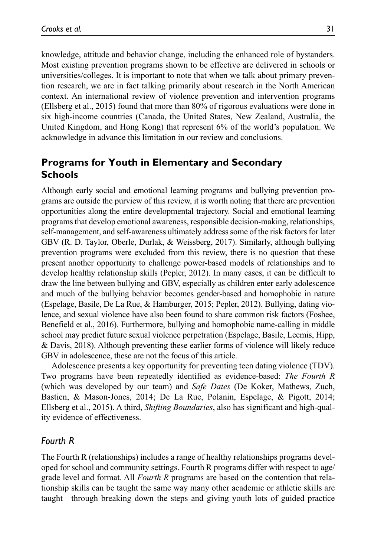knowledge, attitude and behavior change, including the enhanced role of bystanders. Most existing prevention programs shown to be effective are delivered in schools or universities/colleges. It is important to note that when we talk about primary prevention research, we are in fact talking primarily about research in the North American context. An international review of violence prevention and intervention programs (Ellsberg et al., 2015) found that more than 80% of rigorous evaluations were done in six high-income countries (Canada, the United States, New Zealand, Australia, the United Kingdom, and Hong Kong) that represent 6% of the world's population. We acknowledge in advance this limitation in our review and conclusions.

# **Programs for Youth in Elementary and Secondary Schools**

Although early social and emotional learning programs and bullying prevention programs are outside the purview of this review, it is worth noting that there are prevention opportunities along the entire developmental trajectory. Social and emotional learning programs that develop emotional awareness, responsible decision-making, relationships, self-management, and self-awareness ultimately address some of the risk factors for later GBV (R. D. Taylor, Oberle, Durlak, & Weissberg, 2017). Similarly, although bullying prevention programs were excluded from this review, there is no question that these present another opportunity to challenge power-based models of relationships and to develop healthy relationship skills (Pepler, 2012). In many cases, it can be difficult to draw the line between bullying and GBV, especially as children enter early adolescence and much of the bullying behavior becomes gender-based and homophobic in nature (Espelage, Basile, De La Rue, & Hamburger, 2015; Pepler, 2012). Bullying, dating violence, and sexual violence have also been found to share common risk factors (Foshee, Benefield et al., 2016). Furthermore, bullying and homophobic name-calling in middle school may predict future sexual violence perpetration (Espelage, Basile, Leemis, Hipp, & Davis, 2018). Although preventing these earlier forms of violence will likely reduce GBV in adolescence, these are not the focus of this article.

Adolescence presents a key opportunity for preventing teen dating violence (TDV). Two programs have been repeatedly identified as evidence-based: *The Fourth R* (which was developed by our team) and *Safe Dates* (De Koker, Mathews, Zuch, Bastien, & Mason-Jones, 2014; De La Rue, Polanin, Espelage, & Pigott, 2014; Ellsberg et al., 2015). A third, *Shifting Boundaries*, also has significant and high-quality evidence of effectiveness.

### *Fourth R*

The Fourth R (relationships) includes a range of healthy relationships programs developed for school and community settings. Fourth R programs differ with respect to age/ grade level and format. All *Fourth R* programs are based on the contention that relationship skills can be taught the same way many other academic or athletic skills are taught—through breaking down the steps and giving youth lots of guided practice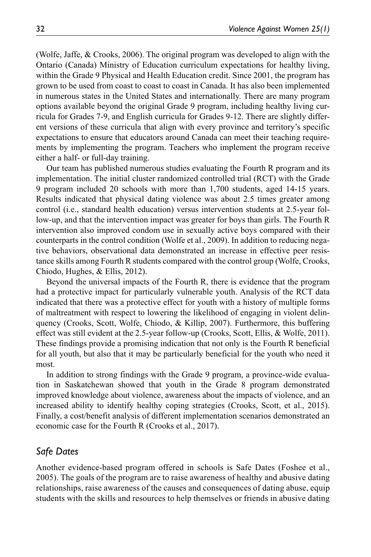(Wolfe, Jaffe, & Crooks, 2006). The original program was developed to align with the Ontario (Canada) Ministry of Education curriculum expectations for healthy living, within the Grade 9 Physical and Health Education credit. Since 2001, the program has grown to be used from coast to coast to coast in Canada. It has also been implemented in numerous states in the United States and internationally. There are many program options available beyond the original Grade 9 program, including healthy living curricula for Grades 7-9, and English curricula for Grades 9-12. There are slightly different versions of these curricula that align with every province and territory's specific expectations to ensure that educators around Canada can meet their teaching requirements by implementing the program. Teachers who implement the program receive either a half- or full-day training.

Our team has published numerous studies evaluating the Fourth R program and its implementation. The initial cluster randomized controlled trial (RCT) with the Grade 9 program included 20 schools with more than 1,700 students, aged 14-15 years. Results indicated that physical dating violence was about 2.5 times greater among control (i.e., standard health education) versus intervention students at 2.5-year follow-up, and that the intervention impact was greater for boys than girls. The Fourth R intervention also improved condom use in sexually active boys compared with their counterparts in the control condition (Wolfe et al., 2009). In addition to reducing negative behaviors, observational data demonstrated an increase in effective peer resistance skills among Fourth R students compared with the control group (Wolfe, Crooks, Chiodo, Hughes, & Ellis, 2012).

Beyond the universal impacts of the Fourth R, there is evidence that the program had a protective impact for particularly vulnerable youth. Analysis of the RCT data indicated that there was a protective effect for youth with a history of multiple forms of maltreatment with respect to lowering the likelihood of engaging in violent delinquency (Crooks, Scott, Wolfe, Chiodo, & Killip, 2007). Furthermore, this buffering effect was still evident at the 2.5-year follow-up (Crooks, Scott, Ellis, & Wolfe, 2011). These findings provide a promising indication that not only is the Fourth R beneficial for all youth, but also that it may be particularly beneficial for the youth who need it most.

In addition to strong findings with the Grade 9 program, a province-wide evaluation in Saskatchewan showed that youth in the Grade 8 program demonstrated improved knowledge about violence, awareness about the impacts of violence, and an increased ability to identify healthy coping strategies (Crooks, Scott, et al., 2015). Finally, a cost/benefit analysis of different implementation scenarios demonstrated an economic case for the Fourth R (Crooks et al., 2017).

### *Safe Dates*

Another evidence-based program offered in schools is Safe Dates (Foshee et al., 2005). The goals of the program are to raise awareness of healthy and abusive dating relationships, raise awareness of the causes and consequences of dating abuse, equip students with the skills and resources to help themselves or friends in abusive dating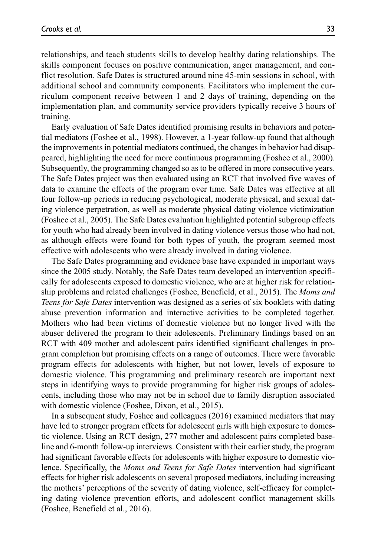relationships, and teach students skills to develop healthy dating relationships. The skills component focuses on positive communication, anger management, and conflict resolution. Safe Dates is structured around nine 45-min sessions in school, with additional school and community components. Facilitators who implement the curriculum component receive between 1 and 2 days of training, depending on the implementation plan, and community service providers typically receive 3 hours of training.

Early evaluation of Safe Dates identified promising results in behaviors and potential mediators (Foshee et al., 1998). However, a 1-year follow-up found that although the improvements in potential mediators continued, the changes in behavior had disappeared, highlighting the need for more continuous programming (Foshee et al., 2000). Subsequently, the programming changed so as to be offered in more consecutive years. The Safe Dates project was then evaluated using an RCT that involved five waves of data to examine the effects of the program over time. Safe Dates was effective at all four follow-up periods in reducing psychological, moderate physical, and sexual dating violence perpetration, as well as moderate physical dating violence victimization (Foshee et al., 2005). The Safe Dates evaluation highlighted potential subgroup effects for youth who had already been involved in dating violence versus those who had not, as although effects were found for both types of youth, the program seemed most effective with adolescents who were already involved in dating violence.

The Safe Dates programming and evidence base have expanded in important ways since the 2005 study. Notably, the Safe Dates team developed an intervention specifically for adolescents exposed to domestic violence, who are at higher risk for relationship problems and related challenges (Foshee, Benefield, et al., 2015). The *Moms and Teens for Safe Dates* intervention was designed as a series of six booklets with dating abuse prevention information and interactive activities to be completed together. Mothers who had been victims of domestic violence but no longer lived with the abuser delivered the program to their adolescents. Preliminary findings based on an RCT with 409 mother and adolescent pairs identified significant challenges in program completion but promising effects on a range of outcomes. There were favorable program effects for adolescents with higher, but not lower, levels of exposure to domestic violence. This programming and preliminary research are important next steps in identifying ways to provide programming for higher risk groups of adolescents, including those who may not be in school due to family disruption associated with domestic violence (Foshee, Dixon, et al., 2015).

In a subsequent study, Foshee and colleagues (2016) examined mediators that may have led to stronger program effects for adolescent girls with high exposure to domestic violence. Using an RCT design, 277 mother and adolescent pairs completed baseline and 6-month follow-up interviews. Consistent with their earlier study, the program had significant favorable effects for adolescents with higher exposure to domestic violence. Specifically, the *Moms and Teens for Safe Dates* intervention had significant effects for higher risk adolescents on several proposed mediators, including increasing the mothers' perceptions of the severity of dating violence, self-efficacy for completing dating violence prevention efforts, and adolescent conflict management skills (Foshee, Benefield et al., 2016).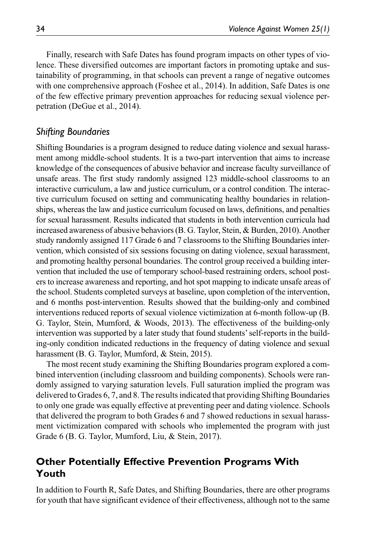Finally, research with Safe Dates has found program impacts on other types of violence. These diversified outcomes are important factors in promoting uptake and sustainability of programming, in that schools can prevent a range of negative outcomes with one comprehensive approach (Foshee et al., 2014). In addition, Safe Dates is one of the few effective primary prevention approaches for reducing sexual violence perpetration (DeGue et al., 2014).

### *Shifting Boundaries*

Shifting Boundaries is a program designed to reduce dating violence and sexual harassment among middle-school students. It is a two-part intervention that aims to increase knowledge of the consequences of abusive behavior and increase faculty surveillance of unsafe areas. The first study randomly assigned 123 middle-school classrooms to an interactive curriculum, a law and justice curriculum, or a control condition. The interactive curriculum focused on setting and communicating healthy boundaries in relationships, whereas the law and justice curriculum focused on laws, definitions, and penalties for sexual harassment. Results indicated that students in both intervention curricula had increased awareness of abusive behaviors (B. G. Taylor, Stein, & Burden, 2010). Another study randomly assigned 117 Grade 6 and 7 classrooms to the Shifting Boundaries intervention, which consisted of six sessions focusing on dating violence, sexual harassment, and promoting healthy personal boundaries. The control group received a building intervention that included the use of temporary school-based restraining orders, school posters to increase awareness and reporting, and hot spot mapping to indicate unsafe areas of the school. Students completed surveys at baseline, upon completion of the intervention, and 6 months post-intervention. Results showed that the building-only and combined interventions reduced reports of sexual violence victimization at 6-month follow-up (B. G. Taylor, Stein, Mumford, & Woods, 2013). The effectiveness of the building-only intervention was supported by a later study that found students' self-reports in the building-only condition indicated reductions in the frequency of dating violence and sexual harassment (B. G. Taylor, Mumford, & Stein, 2015).

The most recent study examining the Shifting Boundaries program explored a combined intervention (including classroom and building components). Schools were randomly assigned to varying saturation levels. Full saturation implied the program was delivered to Grades 6, 7, and 8. The results indicated that providing Shifting Boundaries to only one grade was equally effective at preventing peer and dating violence. Schools that delivered the program to both Grades 6 and 7 showed reductions in sexual harassment victimization compared with schools who implemented the program with just Grade 6 (B. G. Taylor, Mumford, Liu, & Stein, 2017).

## **Other Potentially Effective Prevention Programs With Youth**

In addition to Fourth R, Safe Dates, and Shifting Boundaries, there are other programs for youth that have significant evidence of their effectiveness, although not to the same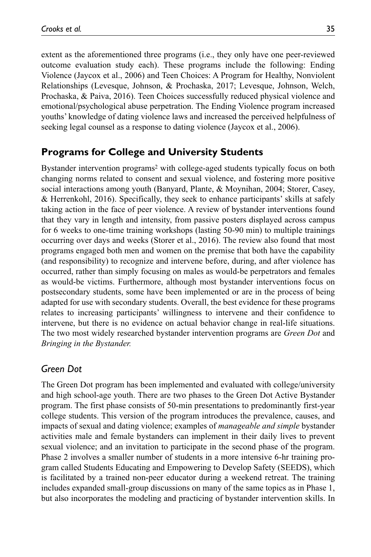extent as the aforementioned three programs (i.e., they only have one peer-reviewed outcome evaluation study each). These programs include the following: Ending Violence (Jaycox et al., 2006) and Teen Choices: A Program for Healthy, Nonviolent Relationships (Levesque, Johnson, & Prochaska, 2017; Levesque, Johnson, Welch, Prochaska, & Paiva, 2016). Teen Choices successfully reduced physical violence and emotional/psychological abuse perpetration. The Ending Violence program increased youths' knowledge of dating violence laws and increased the perceived helpfulness of seeking legal counsel as a response to dating violence (Jaycox et al., 2006).

# **Programs for College and University Students**

Bystander intervention programs2 with college-aged students typically focus on both changing norms related to consent and sexual violence, and fostering more positive social interactions among youth (Banyard, Plante, & Moynihan, 2004; Storer, Casey, & Herrenkohl, 2016). Specifically, they seek to enhance participants' skills at safely taking action in the face of peer violence. A review of bystander interventions found that they vary in length and intensity, from passive posters displayed across campus for 6 weeks to one-time training workshops (lasting 50-90 min) to multiple trainings occurring over days and weeks (Storer et al., 2016). The review also found that most programs engaged both men and women on the premise that both have the capability (and responsibility) to recognize and intervene before, during, and after violence has occurred, rather than simply focusing on males as would-be perpetrators and females as would-be victims. Furthermore, although most bystander interventions focus on postsecondary students, some have been implemented or are in the process of being adapted for use with secondary students. Overall, the best evidence for these programs relates to increasing participants' willingness to intervene and their confidence to intervene, but there is no evidence on actual behavior change in real-life situations. The two most widely researched bystander intervention programs are *Green Dot* and *Bringing in the Bystander.*

## *Green Dot*

The Green Dot program has been implemented and evaluated with college/university and high school-age youth. There are two phases to the Green Dot Active Bystander program. The first phase consists of 50-min presentations to predominantly first-year college students. This version of the program introduces the prevalence, causes, and impacts of sexual and dating violence; examples of *manageable and simple* bystander activities male and female bystanders can implement in their daily lives to prevent sexual violence; and an invitation to participate in the second phase of the program. Phase 2 involves a smaller number of students in a more intensive 6-hr training program called Students Educating and Empowering to Develop Safety (SEEDS), which is facilitated by a trained non-peer educator during a weekend retreat. The training includes expanded small-group discussions on many of the same topics as in Phase 1, but also incorporates the modeling and practicing of bystander intervention skills. In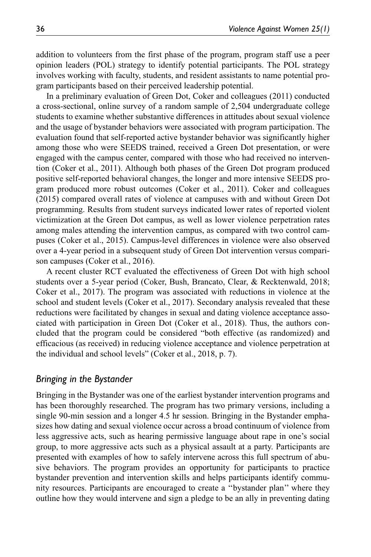addition to volunteers from the first phase of the program, program staff use a peer opinion leaders (POL) strategy to identify potential participants. The POL strategy involves working with faculty, students, and resident assistants to name potential program participants based on their perceived leadership potential.

In a preliminary evaluation of Green Dot, Coker and colleagues (2011) conducted a cross-sectional, online survey of a random sample of 2,504 undergraduate college students to examine whether substantive differences in attitudes about sexual violence and the usage of bystander behaviors were associated with program participation. The evaluation found that self-reported active bystander behavior was significantly higher among those who were SEEDS trained, received a Green Dot presentation, or were engaged with the campus center, compared with those who had received no intervention (Coker et al., 2011). Although both phases of the Green Dot program produced positive self-reported behavioral changes, the longer and more intensive SEEDS program produced more robust outcomes (Coker et al., 2011). Coker and colleagues (2015) compared overall rates of violence at campuses with and without Green Dot programming. Results from student surveys indicated lower rates of reported violent victimization at the Green Dot campus, as well as lower violence perpetration rates among males attending the intervention campus, as compared with two control campuses (Coker et al., 2015). Campus-level differences in violence were also observed over a 4-year period in a subsequent study of Green Dot intervention versus comparison campuses (Coker et al., 2016).

A recent cluster RCT evaluated the effectiveness of Green Dot with high school students over a 5-year period (Coker, Bush, Brancato, Clear, & Recktenwald, 2018; Coker et al., 2017). The program was associated with reductions in violence at the school and student levels (Coker et al., 2017). Secondary analysis revealed that these reductions were facilitated by changes in sexual and dating violence acceptance associated with participation in Green Dot (Coker et al., 2018). Thus, the authors concluded that the program could be considered "both effective (as randomized) and efficacious (as received) in reducing violence acceptance and violence perpetration at the individual and school levels" (Coker et al., 2018, p. 7).

### *Bringing in the Bystander*

Bringing in the Bystander was one of the earliest bystander intervention programs and has been thoroughly researched. The program has two primary versions, including a single 90-min session and a longer 4.5 hr session. Bringing in the Bystander emphasizes how dating and sexual violence occur across a broad continuum of violence from less aggressive acts, such as hearing permissive language about rape in one's social group, to more aggressive acts such as a physical assault at a party. Participants are presented with examples of how to safely intervene across this full spectrum of abusive behaviors. The program provides an opportunity for participants to practice bystander prevention and intervention skills and helps participants identify community resources. Participants are encouraged to create a ''bystander plan'' where they outline how they would intervene and sign a pledge to be an ally in preventing dating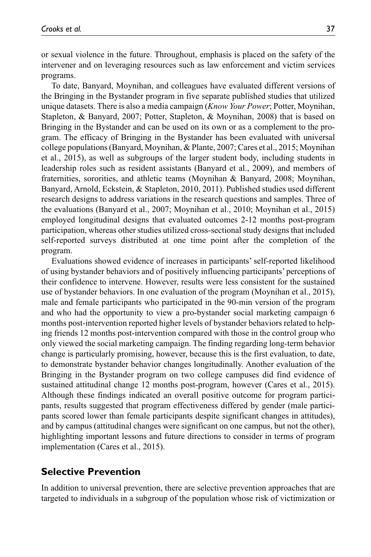or sexual violence in the future. Throughout, emphasis is placed on the safety of the intervener and on leveraging resources such as law enforcement and victim services programs.

To date, Banyard, Moynihan, and colleagues have evaluated different versions of the Bringing in the Bystander program in five separate published studies that utilized unique datasets. There is also a media campaign (*Know Your Power*; Potter, Moynihan, Stapleton, & Banyard, 2007; Potter, Stapleton, & Moynihan, 2008) that is based on Bringing in the Bystander and can be used on its own or as a complement to the program. The efficacy of Bringing in the Bystander has been evaluated with universal college populations (Banyard, Moynihan, & Plante, 2007; Cares et al., 2015; Moynihan et al., 2015), as well as subgroups of the larger student body, including students in leadership roles such as resident assistants (Banyard et al., 2009), and members of fraternities, sororities, and athletic teams (Moynihan & Banyard, 2008; Moynihan, Banyard, Arnold, Eckstein, & Stapleton, 2010, 2011). Published studies used different research designs to address variations in the research questions and samples. Three of the evaluations (Banyard et al., 2007; Moynihan et al., 2010; Moynihan et al., 2015) employed longitudinal designs that evaluated outcomes 2-12 months post-program participation, whereas other studies utilized cross-sectional study designs that included self-reported surveys distributed at one time point after the completion of the program.

Evaluations showed evidence of increases in participants' self-reported likelihood of using bystander behaviors and of positively influencing participants' perceptions of their confidence to intervene. However, results were less consistent for the sustained use of bystander behaviors. In one evaluation of the program (Moynihan et al., 2015), male and female participants who participated in the 90-min version of the program and who had the opportunity to view a pro-bystander social marketing campaign 6 months post-intervention reported higher levels of bystander behaviors related to helping friends 12 months post-intervention compared with those in the control group who only viewed the social marketing campaign. The finding regarding long-term behavior change is particularly promising, however, because this is the first evaluation, to date, to demonstrate bystander behavior changes longitudinally. Another evaluation of the Bringing in the Bystander program on two college campuses did find evidence of sustained attitudinal change 12 months post-program, however (Cares et al., 2015). Although these findings indicated an overall positive outcome for program participants, results suggested that program effectiveness differed by gender (male participants scored lower than female participants despite significant changes in attitudes), and by campus (attitudinal changes were significant on one campus, but not the other), highlighting important lessons and future directions to consider in terms of program implementation (Cares et al., 2015).

## **Selective Prevention**

In addition to universal prevention, there are selective prevention approaches that are targeted to individuals in a subgroup of the population whose risk of victimization or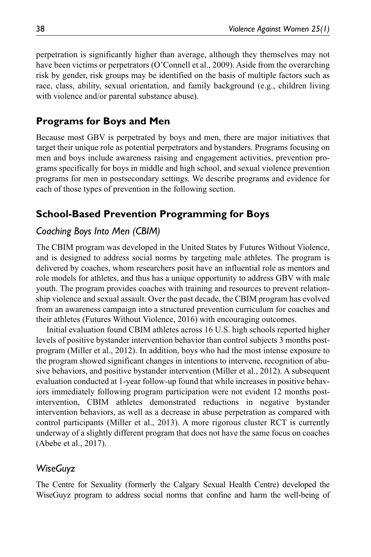perpetration is significantly higher than average, although they themselves may not have been victims or perpetrators (O'Connell et al., 2009). Aside from the overarching risk by gender, risk groups may be identified on the basis of multiple factors such as race, class, ability, sexual orientation, and family background (e.g., children living with violence and/or parental substance abuse).

# **Programs for Boys and Men**

Because most GBV is perpetrated by boys and men, there are major initiatives that target their unique role as potential perpetrators and bystanders. Programs focusing on men and boys include awareness raising and engagement activities, prevention programs specifically for boys in middle and high school, and sexual violence prevention programs for men in postsecondary settings. We describe programs and evidence for each of those types of prevention in the following section.

# **School-Based Prevention Programming for Boys**

# *Coaching Boys Into Men (CBIM)*

The CBIM program was developed in the United States by Futures Without Violence, and is designed to address social norms by targeting male athletes. The program is delivered by coaches, whom researchers posit have an influential role as mentors and role models for athletes, and thus has a unique opportunity to address GBV with male youth. The program provides coaches with training and resources to prevent relationship violence and sexual assault. Over the past decade, the CBIM program has evolved from an awareness campaign into a structured prevention curriculum for coaches and their athletes (Futures Without Violence, 2016) with encouraging outcomes.

Initial evaluation found CBIM athletes across 16 U.S. high schools reported higher levels of positive bystander intervention behavior than control subjects 3 months postprogram (Miller et al., 2012). In addition, boys who had the most intense exposure to the program showed significant changes in intentions to intervene, recognition of abusive behaviors, and positive bystander intervention (Miller et al., 2012). A subsequent evaluation conducted at 1-year follow-up found that while increases in positive behaviors immediately following program participation were not evident 12 months postintervention, CBIM athletes demonstrated reductions in negative bystander intervention behaviors, as well as a decrease in abuse perpetration as compared with control participants (Miller et al., 2013). A more rigorous cluster RCT is currently underway of a slightly different program that does not have the same focus on coaches (Abebe et al., 2017).

### *WiseGuyz*

The Centre for Sexuality (formerly the Calgary Sexual Health Centre) developed the WiseGuyz program to address social norms that confine and harm the well-being of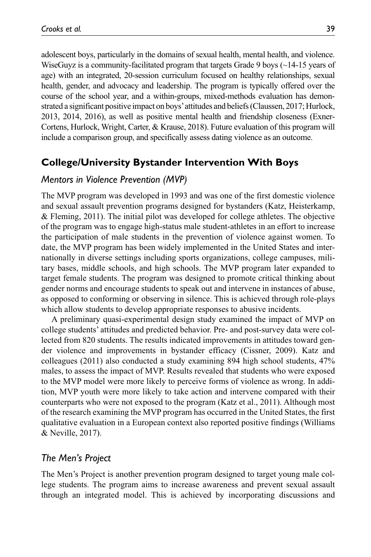adolescent boys, particularly in the domains of sexual health, mental health, and violence. WiseGuyz is a community-facilitated program that targets Grade 9 boys  $(\sim]$ 14-15 years of age) with an integrated, 20-session curriculum focused on healthy relationships, sexual health, gender, and advocacy and leadership. The program is typically offered over the course of the school year, and a within-groups, mixed-methods evaluation has demonstrated a significant positive impact on boys' attitudes and beliefs (Claussen, 2017; Hurlock, 2013, 2014, 2016), as well as positive mental health and friendship closeness (Exner-Cortens, Hurlock, Wright, Carter, & Krause, 2018). Future evaluation of this program will include a comparison group, and specifically assess dating violence as an outcome.

### **College/University Bystander Intervention With Boys**

### *Mentors in Violence Prevention (MVP)*

The MVP program was developed in 1993 and was one of the first domestic violence and sexual assault prevention programs designed for bystanders (Katz, Heisterkamp, & Fleming, 2011). The initial pilot was developed for college athletes. The objective of the program was to engage high-status male student-athletes in an effort to increase the participation of male students in the prevention of violence against women. To date, the MVP program has been widely implemented in the United States and internationally in diverse settings including sports organizations, college campuses, military bases, middle schools, and high schools. The MVP program later expanded to target female students. The program was designed to promote critical thinking about gender norms and encourage students to speak out and intervene in instances of abuse, as opposed to conforming or observing in silence. This is achieved through role-plays which allow students to develop appropriate responses to abusive incidents.

A preliminary quasi-experimental design study examined the impact of MVP on college students' attitudes and predicted behavior. Pre- and post-survey data were collected from 820 students. The results indicated improvements in attitudes toward gender violence and improvements in bystander efficacy (Cissner, 2009). Katz and colleagues (2011) also conducted a study examining 894 high school students, 47% males, to assess the impact of MVP. Results revealed that students who were exposed to the MVP model were more likely to perceive forms of violence as wrong. In addition, MVP youth were more likely to take action and intervene compared with their counterparts who were not exposed to the program (Katz et al., 2011). Although most of the research examining the MVP program has occurred in the United States, the first qualitative evaluation in a European context also reported positive findings (Williams & Neville, 2017).

### *The Men's Project*

The Men's Project is another prevention program designed to target young male college students. The program aims to increase awareness and prevent sexual assault through an integrated model. This is achieved by incorporating discussions and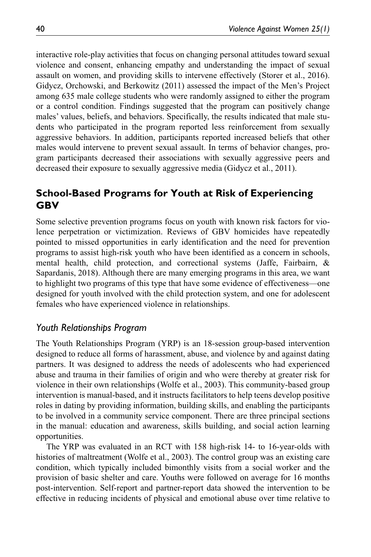interactive role-play activities that focus on changing personal attitudes toward sexual violence and consent, enhancing empathy and understanding the impact of sexual assault on women, and providing skills to intervene effectively (Storer et al., 2016). Gidycz, Orchowski, and Berkowitz (2011) assessed the impact of the Men's Project among 635 male college students who were randomly assigned to either the program or a control condition. Findings suggested that the program can positively change males' values, beliefs, and behaviors. Specifically, the results indicated that male students who participated in the program reported less reinforcement from sexually aggressive behaviors. In addition, participants reported increased beliefs that other males would intervene to prevent sexual assault. In terms of behavior changes, program participants decreased their associations with sexually aggressive peers and decreased their exposure to sexually aggressive media (Gidycz et al., 2011).

## **School-Based Programs for Youth at Risk of Experiencing GBV**

Some selective prevention programs focus on youth with known risk factors for violence perpetration or victimization. Reviews of GBV homicides have repeatedly pointed to missed opportunities in early identification and the need for prevention programs to assist high-risk youth who have been identified as a concern in schools, mental health, child protection, and correctional systems (Jaffe, Fairbairn, & Sapardanis, 2018). Although there are many emerging programs in this area, we want to highlight two programs of this type that have some evidence of effectiveness—one designed for youth involved with the child protection system, and one for adolescent females who have experienced violence in relationships.

### *Youth Relationships Program*

The Youth Relationships Program (YRP) is an 18-session group-based intervention designed to reduce all forms of harassment, abuse, and violence by and against dating partners. It was designed to address the needs of adolescents who had experienced abuse and trauma in their families of origin and who were thereby at greater risk for violence in their own relationships (Wolfe et al., 2003). This community-based group intervention is manual-based, and it instructs facilitators to help teens develop positive roles in dating by providing information, building skills, and enabling the participants to be involved in a community service component. There are three principal sections in the manual: education and awareness, skills building, and social action learning opportunities.

The YRP was evaluated in an RCT with 158 high-risk 14- to 16-year-olds with histories of maltreatment (Wolfe et al., 2003). The control group was an existing care condition, which typically included bimonthly visits from a social worker and the provision of basic shelter and care. Youths were followed on average for 16 months post-intervention. Self-report and partner-report data showed the intervention to be effective in reducing incidents of physical and emotional abuse over time relative to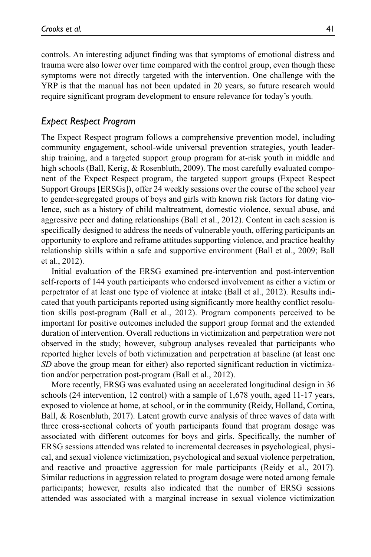controls. An interesting adjunct finding was that symptoms of emotional distress and trauma were also lower over time compared with the control group, even though these symptoms were not directly targeted with the intervention. One challenge with the YRP is that the manual has not been updated in 20 years, so future research would require significant program development to ensure relevance for today's youth.

#### *Expect Respect Program*

The Expect Respect program follows a comprehensive prevention model, including community engagement, school-wide universal prevention strategies, youth leadership training, and a targeted support group program for at-risk youth in middle and high schools (Ball, Kerig, & Rosenbluth, 2009). The most carefully evaluated component of the Expect Respect program, the targeted support groups (Expect Respect Support Groups [ERSGs]), offer 24 weekly sessions over the course of the school year to gender-segregated groups of boys and girls with known risk factors for dating violence, such as a history of child maltreatment, domestic violence, sexual abuse, and aggressive peer and dating relationships (Ball et al., 2012). Content in each session is specifically designed to address the needs of vulnerable youth, offering participants an opportunity to explore and reframe attitudes supporting violence, and practice healthy relationship skills within a safe and supportive environment (Ball et al., 2009; Ball et al., 2012).

Initial evaluation of the ERSG examined pre-intervention and post-intervention self-reports of 144 youth participants who endorsed involvement as either a victim or perpetrator of at least one type of violence at intake (Ball et al., 2012). Results indicated that youth participants reported using significantly more healthy conflict resolution skills post-program (Ball et al., 2012). Program components perceived to be important for positive outcomes included the support group format and the extended duration of intervention. Overall reductions in victimization and perpetration were not observed in the study; however, subgroup analyses revealed that participants who reported higher levels of both victimization and perpetration at baseline (at least one *SD* above the group mean for either) also reported significant reduction in victimization and/or perpetration post-program (Ball et al., 2012).

More recently, ERSG was evaluated using an accelerated longitudinal design in 36 schools (24 intervention, 12 control) with a sample of 1,678 youth, aged 11-17 years, exposed to violence at home, at school, or in the community (Reidy, Holland, Cortina, Ball, & Rosenbluth, 2017). Latent growth curve analysis of three waves of data with three cross-sectional cohorts of youth participants found that program dosage was associated with different outcomes for boys and girls. Specifically, the number of ERSG sessions attended was related to incremental decreases in psychological, physical, and sexual violence victimization, psychological and sexual violence perpetration, and reactive and proactive aggression for male participants (Reidy et al., 2017). Similar reductions in aggression related to program dosage were noted among female participants; however, results also indicated that the number of ERSG sessions attended was associated with a marginal increase in sexual violence victimization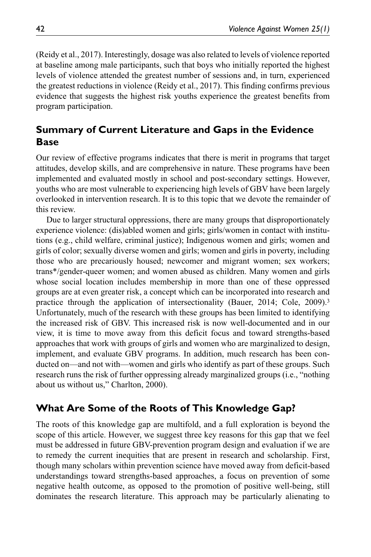(Reidy et al., 2017). Interestingly, dosage was also related to levels of violence reported at baseline among male participants, such that boys who initially reported the highest levels of violence attended the greatest number of sessions and, in turn, experienced the greatest reductions in violence (Reidy et al., 2017). This finding confirms previous evidence that suggests the highest risk youths experience the greatest benefits from program participation.

# **Summary of Current Literature and Gaps in the Evidence Base**

Our review of effective programs indicates that there is merit in programs that target attitudes, develop skills, and are comprehensive in nature. These programs have been implemented and evaluated mostly in school and post-secondary settings. However, youths who are most vulnerable to experiencing high levels of GBV have been largely overlooked in intervention research. It is to this topic that we devote the remainder of this review.

Due to larger structural oppressions, there are many groups that disproportionately experience violence: (dis)abled women and girls; girls/women in contact with institutions (e.g., child welfare, criminal justice); Indigenous women and girls; women and girls of color; sexually diverse women and girls; women and girls in poverty, including those who are precariously housed; newcomer and migrant women; sex workers; trans\*/gender-queer women; and women abused as children. Many women and girls whose social location includes membership in more than one of these oppressed groups are at even greater risk, a concept which can be incorporated into research and practice through the application of intersectionality (Bauer, 2014; Cole, 2009).<sup>3</sup> Unfortunately, much of the research with these groups has been limited to identifying the increased risk of GBV. This increased risk is now well-documented and in our view, it is time to move away from this deficit focus and toward strengths-based approaches that work with groups of girls and women who are marginalized to design, implement, and evaluate GBV programs. In addition, much research has been conducted on—and not with—women and girls who identify as part of these groups. Such research runs the risk of further oppressing already marginalized groups (i.e., "nothing about us without us," Charlton, 2000).

# **What Are Some of the Roots of This Knowledge Gap?**

The roots of this knowledge gap are multifold, and a full exploration is beyond the scope of this article. However, we suggest three key reasons for this gap that we feel must be addressed in future GBV-prevention program design and evaluation if we are to remedy the current inequities that are present in research and scholarship. First, though many scholars within prevention science have moved away from deficit-based understandings toward strengths-based approaches, a focus on prevention of some negative health outcome, as opposed to the promotion of positive well-being, still dominates the research literature. This approach may be particularly alienating to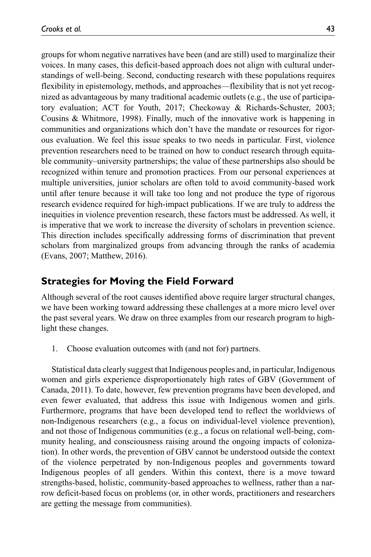groups for whom negative narratives have been (and are still) used to marginalize their voices. In many cases, this deficit-based approach does not align with cultural understandings of well-being. Second, conducting research with these populations requires flexibility in epistemology, methods, and approaches—flexibility that is not yet recognized as advantageous by many traditional academic outlets (e.g., the use of participatory evaluation; ACT for Youth, 2017; Checkoway & Richards-Schuster, 2003; Cousins & Whitmore, 1998). Finally, much of the innovative work is happening in communities and organizations which don't have the mandate or resources for rigorous evaluation. We feel this issue speaks to two needs in particular. First, violence prevention researchers need to be trained on how to conduct research through equitable community–university partnerships; the value of these partnerships also should be recognized within tenure and promotion practices. From our personal experiences at multiple universities, junior scholars are often told to avoid community-based work until after tenure because it will take too long and not produce the type of rigorous research evidence required for high-impact publications. If we are truly to address the inequities in violence prevention research, these factors must be addressed. As well, it is imperative that we work to increase the diversity of scholars in prevention science. This direction includes specifically addressing forms of discrimination that prevent scholars from marginalized groups from advancing through the ranks of academia (Evans, 2007; Matthew, 2016).

## **Strategies for Moving the Field Forward**

Although several of the root causes identified above require larger structural changes, we have been working toward addressing these challenges at a more micro level over the past several years. We draw on three examples from our research program to highlight these changes.

1. Choose evaluation outcomes with (and not for) partners.

Statistical data clearly suggest that Indigenous peoples and, in particular, Indigenous women and girls experience disproportionately high rates of GBV (Government of Canada, 2011). To date, however, few prevention programs have been developed, and even fewer evaluated, that address this issue with Indigenous women and girls. Furthermore, programs that have been developed tend to reflect the worldviews of non-Indigenous researchers (e.g., a focus on individual-level violence prevention), and not those of Indigenous communities (e.g., a focus on relational well-being, community healing, and consciousness raising around the ongoing impacts of colonization). In other words, the prevention of GBV cannot be understood outside the context of the violence perpetrated by non-Indigenous peoples and governments toward Indigenous peoples of all genders. Within this context, there is a move toward strengths-based, holistic, community-based approaches to wellness, rather than a narrow deficit-based focus on problems (or, in other words, practitioners and researchers are getting the message from communities).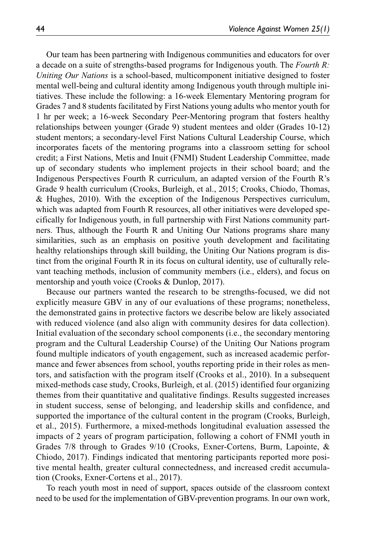Our team has been partnering with Indigenous communities and educators for over a decade on a suite of strengths-based programs for Indigenous youth. The *Fourth R: Uniting Our Nations* is a school-based, multicomponent initiative designed to foster mental well-being and cultural identity among Indigenous youth through multiple initiatives. These include the following: a 16-week Elementary Mentoring program for Grades 7 and 8 students facilitated by First Nations young adults who mentor youth for 1 hr per week; a 16-week Secondary Peer-Mentoring program that fosters healthy relationships between younger (Grade 9) student mentees and older (Grades 10-12) student mentors; a secondary-level First Nations Cultural Leadership Course, which incorporates facets of the mentoring programs into a classroom setting for school credit; a First Nations, Metis and Inuit (FNMI) Student Leadership Committee, made up of secondary students who implement projects in their school board; and the Indigenous Perspectives Fourth R curriculum, an adapted version of the Fourth R's Grade 9 health curriculum (Crooks, Burleigh, et al., 2015; Crooks, Chiodo, Thomas, & Hughes, 2010). With the exception of the Indigenous Perspectives curriculum, which was adapted from Fourth R resources, all other initiatives were developed specifically for Indigenous youth, in full partnership with First Nations community partners. Thus, although the Fourth R and Uniting Our Nations programs share many similarities, such as an emphasis on positive youth development and facilitating healthy relationships through skill building, the Uniting Our Nations program is distinct from the original Fourth R in its focus on cultural identity, use of culturally relevant teaching methods, inclusion of community members (i.e., elders), and focus on mentorship and youth voice (Crooks & Dunlop, 2017).

Because our partners wanted the research to be strengths-focused, we did not explicitly measure GBV in any of our evaluations of these programs; nonetheless, the demonstrated gains in protective factors we describe below are likely associated with reduced violence (and also align with community desires for data collection). Initial evaluation of the secondary school components (i.e., the secondary mentoring program and the Cultural Leadership Course) of the Uniting Our Nations program found multiple indicators of youth engagement, such as increased academic performance and fewer absences from school, youths reporting pride in their roles as mentors, and satisfaction with the program itself (Crooks et al., 2010). In a subsequent mixed-methods case study, Crooks, Burleigh, et al. (2015) identified four organizing themes from their quantitative and qualitative findings. Results suggested increases in student success, sense of belonging, and leadership skills and confidence, and supported the importance of the cultural content in the program (Crooks, Burleigh, et al., 2015). Furthermore, a mixed-methods longitudinal evaluation assessed the impacts of 2 years of program participation, following a cohort of FNMI youth in Grades 7/8 through to Grades 9/10 (Crooks, Exner-Cortens, Burm, Lapointe, & Chiodo, 2017). Findings indicated that mentoring participants reported more positive mental health, greater cultural connectedness, and increased credit accumulation (Crooks, Exner-Cortens et al., 2017).

To reach youth most in need of support, spaces outside of the classroom context need to be used for the implementation of GBV-prevention programs. In our own work,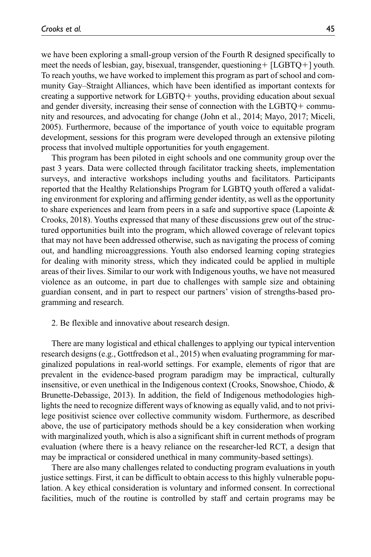we have been exploring a small-group version of the Fourth R designed specifically to meet the needs of lesbian, gay, bisexual, transgender, questioning+ [LGBTQ+] youth. To reach youths, we have worked to implement this program as part of school and community Gay–Straight Alliances, which have been identified as important contexts for creating a supportive network for LGBTQ+ youths, providing education about sexual and gender diversity, increasing their sense of connection with the LGBTQ+ community and resources, and advocating for change (John et al., 2014; Mayo, 2017; Miceli, 2005). Furthermore, because of the importance of youth voice to equitable program development, sessions for this program were developed through an extensive piloting process that involved multiple opportunities for youth engagement.

This program has been piloted in eight schools and one community group over the past 3 years. Data were collected through facilitator tracking sheets, implementation surveys, and interactive workshops including youths and facilitators. Participants reported that the Healthy Relationships Program for LGBTQ youth offered a validating environment for exploring and affirming gender identity, as well as the opportunity to share experiences and learn from peers in a safe and supportive space (Lapointe & Crooks, 2018). Youths expressed that many of these discussions grew out of the structured opportunities built into the program, which allowed coverage of relevant topics that may not have been addressed otherwise, such as navigating the process of coming out, and handling microaggressions. Youth also endorsed learning coping strategies for dealing with minority stress, which they indicated could be applied in multiple areas of their lives. Similar to our work with Indigenous youths, we have not measured violence as an outcome, in part due to challenges with sample size and obtaining guardian consent, and in part to respect our partners' vision of strengths-based programming and research.

#### 2. Be flexible and innovative about research design.

There are many logistical and ethical challenges to applying our typical intervention research designs (e.g., Gottfredson et al., 2015) when evaluating programming for marginalized populations in real-world settings. For example, elements of rigor that are prevalent in the evidence-based program paradigm may be impractical, culturally insensitive, or even unethical in the Indigenous context (Crooks, Snowshoe, Chiodo, & Brunette-Debassige, 2013). In addition, the field of Indigenous methodologies highlights the need to recognize different ways of knowing as equally valid, and to not privilege positivist science over collective community wisdom. Furthermore, as described above, the use of participatory methods should be a key consideration when working with marginalized youth, which is also a significant shift in current methods of program evaluation (where there is a heavy reliance on the researcher-led RCT, a design that may be impractical or considered unethical in many community-based settings).

There are also many challenges related to conducting program evaluations in youth justice settings. First, it can be difficult to obtain access to this highly vulnerable population. A key ethical consideration is voluntary and informed consent. In correctional facilities, much of the routine is controlled by staff and certain programs may be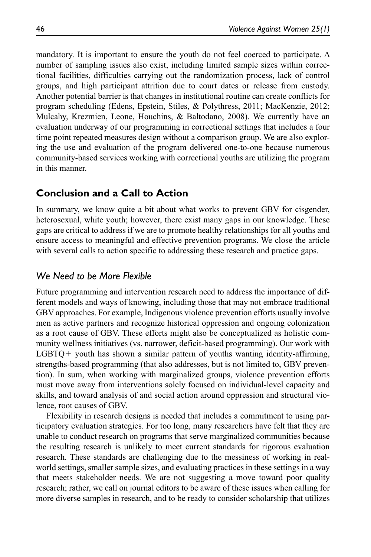mandatory. It is important to ensure the youth do not feel coerced to participate. A number of sampling issues also exist, including limited sample sizes within correctional facilities, difficulties carrying out the randomization process, lack of control groups, and high participant attrition due to court dates or release from custody. Another potential barrier is that changes in institutional routine can create conflicts for program scheduling (Edens, Epstein, Stiles, & Polythress, 2011; MacKenzie, 2012; Mulcahy, Krezmien, Leone, Houchins, & Baltodano, 2008). We currently have an evaluation underway of our programming in correctional settings that includes a four time point repeated measures design without a comparison group. We are also exploring the use and evaluation of the program delivered one-to-one because numerous community-based services working with correctional youths are utilizing the program in this manner.

### **Conclusion and a Call to Action**

In summary, we know quite a bit about what works to prevent GBV for cisgender, heterosexual, white youth; however, there exist many gaps in our knowledge. These gaps are critical to address if we are to promote healthy relationships for all youths and ensure access to meaningful and effective prevention programs. We close the article with several calls to action specific to addressing these research and practice gaps.

### *We Need to be More Flexible*

Future programming and intervention research need to address the importance of different models and ways of knowing, including those that may not embrace traditional GBV approaches. For example, Indigenous violence prevention efforts usually involve men as active partners and recognize historical oppression and ongoing colonization as a root cause of GBV. These efforts might also be conceptualized as holistic community wellness initiatives (vs. narrower, deficit-based programming). Our work with LGBTQ+ youth has shown a similar pattern of youths wanting identity-affirming, strengths-based programming (that also addresses, but is not limited to, GBV prevention). In sum, when working with marginalized groups, violence prevention efforts must move away from interventions solely focused on individual-level capacity and skills, and toward analysis of and social action around oppression and structural violence, root causes of GBV.

Flexibility in research designs is needed that includes a commitment to using participatory evaluation strategies. For too long, many researchers have felt that they are unable to conduct research on programs that serve marginalized communities because the resulting research is unlikely to meet current standards for rigorous evaluation research. These standards are challenging due to the messiness of working in realworld settings, smaller sample sizes, and evaluating practices in these settings in a way that meets stakeholder needs. We are not suggesting a move toward poor quality research; rather, we call on journal editors to be aware of these issues when calling for more diverse samples in research, and to be ready to consider scholarship that utilizes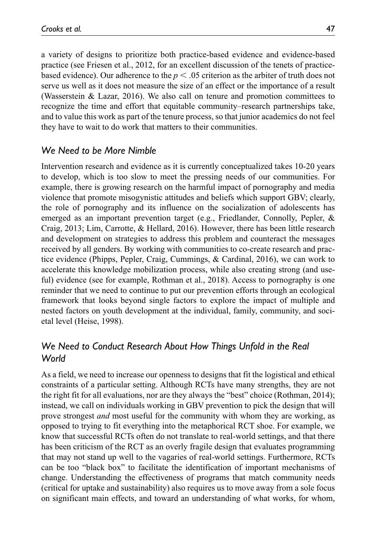a variety of designs to prioritize both practice-based evidence and evidence-based practice (see Friesen et al., 2012, for an excellent discussion of the tenets of practicebased evidence). Our adherence to the  $p < 0.05$  criterion as the arbiter of truth does not serve us well as it does not measure the size of an effect or the importance of a result (Wasserstein & Lazar, 2016). We also call on tenure and promotion committees to recognize the time and effort that equitable community–research partnerships take, and to value this work as part of the tenure process, so that junior academics do not feel they have to wait to do work that matters to their communities.

### *We Need to be More Nimble*

Intervention research and evidence as it is currently conceptualized takes 10-20 years to develop, which is too slow to meet the pressing needs of our communities. For example, there is growing research on the harmful impact of pornography and media violence that promote misogynistic attitudes and beliefs which support GBV; clearly, the role of pornography and its influence on the socialization of adolescents has emerged as an important prevention target (e.g., Friedlander, Connolly, Pepler, & Craig, 2013; Lim, Carrotte, & Hellard, 2016). However, there has been little research and development on strategies to address this problem and counteract the messages received by all genders. By working with communities to co-create research and practice evidence (Phipps, Pepler, Craig, Cummings, & Cardinal, 2016), we can work to accelerate this knowledge mobilization process, while also creating strong (and useful) evidence (see for example, Rothman et al., 2018). Access to pornography is one reminder that we need to continue to put our prevention efforts through an ecological framework that looks beyond single factors to explore the impact of multiple and nested factors on youth development at the individual, family, community, and societal level (Heise, 1998).

### *We Need to Conduct Research About How Things Unfold in the Real World*

As a field, we need to increase our openness to designs that fit the logistical and ethical constraints of a particular setting. Although RCTs have many strengths, they are not the right fit for all evaluations, nor are they always the "best" choice (Rothman, 2014); instead, we call on individuals working in GBV prevention to pick the design that will prove strongest *and* most useful for the community with whom they are working, as opposed to trying to fit everything into the metaphorical RCT shoe. For example, we know that successful RCTs often do not translate to real-world settings, and that there has been criticism of the RCT as an overly fragile design that evaluates programming that may not stand up well to the vagaries of real-world settings. Furthermore, RCTs can be too "black box" to facilitate the identification of important mechanisms of change. Understanding the effectiveness of programs that match community needs (critical for uptake and sustainability) also requires us to move away from a sole focus on significant main effects, and toward an understanding of what works, for whom,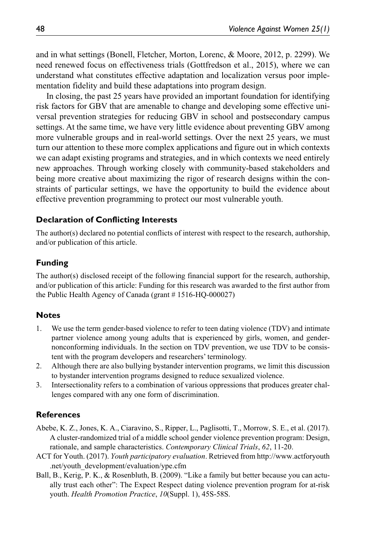and in what settings (Bonell, Fletcher, Morton, Lorenc, & Moore, 2012, p. 2299). We need renewed focus on effectiveness trials (Gottfredson et al., 2015), where we can understand what constitutes effective adaptation and localization versus poor implementation fidelity and build these adaptations into program design.

In closing, the past 25 years have provided an important foundation for identifying risk factors for GBV that are amenable to change and developing some effective universal prevention strategies for reducing GBV in school and postsecondary campus settings. At the same time, we have very little evidence about preventing GBV among more vulnerable groups and in real-world settings. Over the next 25 years, we must turn our attention to these more complex applications and figure out in which contexts we can adapt existing programs and strategies, and in which contexts we need entirely new approaches. Through working closely with community-based stakeholders and being more creative about maximizing the rigor of research designs within the constraints of particular settings, we have the opportunity to build the evidence about effective prevention programming to protect our most vulnerable youth.

#### **Declaration of Conflicting Interests**

The author(s) declared no potential conflicts of interest with respect to the research, authorship, and/or publication of this article.

#### **Funding**

The author(s) disclosed receipt of the following financial support for the research, authorship, and/or publication of this article: Funding for this research was awarded to the first author from the Public Health Agency of Canada (grant # 1516-HQ-000027)

#### **Notes**

- 1. We use the term gender-based violence to refer to teen dating violence (TDV) and intimate partner violence among young adults that is experienced by girls, women, and gendernonconforming individuals. In the section on TDV prevention, we use TDV to be consistent with the program developers and researchers' terminology.
- 2. Although there are also bullying bystander intervention programs, we limit this discussion to bystander intervention programs designed to reduce sexualized violence.
- 3. Intersectionality refers to a combination of various oppressions that produces greater challenges compared with any one form of discrimination.

#### **References**

- Abebe, K. Z., Jones, K. A., Ciaravino, S., Ripper, L., Paglisotti, T., Morrow, S. E., et al. (2017). A cluster-randomized trial of a middle school gender violence prevention program: Design, rationale, and sample characteristics. *Contemporary Clinical Trials*, *62*, 11-20.
- ACT for Youth. (2017). *Youth participatory evaluation*. Retrieved from [http://www.actforyouth](http://www.actforyouth.net/youth_development/evaluation/ype.cfm) [.net/youth\\_development/evaluation/ype.cfm](http://www.actforyouth.net/youth_development/evaluation/ype.cfm)
- Ball, B., Kerig, P. K., & Rosenbluth, B. (2009). "Like a family but better because you can actually trust each other": The Expect Respect dating violence prevention program for at-risk youth. *Health Promotion Practice*, *10*(Suppl. 1), 45S-58S.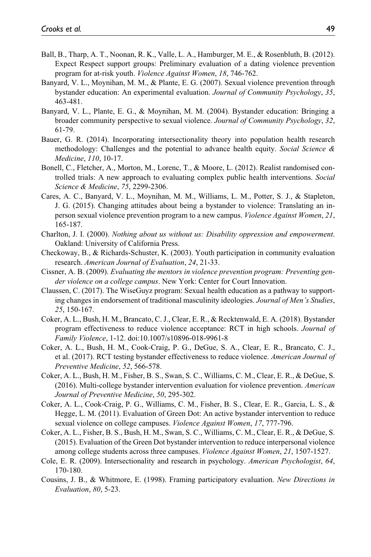- Ball, B., Tharp, A. T., Noonan, R. K., Valle, L. A., Hamburger, M. E., & Rosenbluth, B. (2012). Expect Respect support groups: Preliminary evaluation of a dating violence prevention program for at-risk youth. *Violence Against Women*, *18*, 746-762.
- Banyard, V. L., Moynihan, M. M., & Plante, E. G. (2007). Sexual violence prevention through bystander education: An experimental evaluation. *Journal of Community Psychology*, *35*, 463-481.
- Banyard, V. L., Plante, E. G., & Moynihan, M. M. (2004). Bystander education: Bringing a broader community perspective to sexual violence. *Journal of Community Psychology*, *32*, 61-79.
- Bauer, G. R. (2014). Incorporating intersectionality theory into population health research methodology: Challenges and the potential to advance health equity. *Social Science & Medicine*, *110*, 10-17.
- Bonell, C., Fletcher, A., Morton, M., Lorenc, T., & Moore, L. (2012). Realist randomised controlled trials: A new approach to evaluating complex public health interventions. *Social Science & Medicine*, *75*, 2299-2306.
- Cares, A. C., Banyard, V. L., Moynihan, M. M., Williams, L. M., Potter, S. J., & Stapleton, J. G. (2015). Changing attitudes about being a bystander to violence: Translating an inperson sexual violence prevention program to a new campus. *Violence Against Women*, *21*, 165-187.
- Charlton, J. I. (2000). *Nothing about us without us: Disability oppression and empowerment*. Oakland: University of California Press.
- Checkoway, B., & Richards-Schuster, K. (2003). Youth participation in community evaluation research. *American Journal of Evaluation*, *24*, 21-33.
- Cissner, A. B. (2009). *Evaluating the mentors in violence prevention program: Preventing gender violence on a college campus*. New York: Center for Court Innovation.
- Claussen, C. (2017). The WiseGuyz program: Sexual health education as a pathway to supporting changes in endorsement of traditional masculinity ideologies. *Journal of Men's Studies*, *25*, 150-167.
- Coker, A. L., Bush, H. M., Brancato, C. J., Clear, E. R., & Recktenwald, E. A. (2018). Bystander program effectiveness to reduce violence acceptance: RCT in high schools. *Journal of Family Violence*, 1-12. doi:10.1007/s10896-018-9961-8
- Coker, A. L., Bush, H. M., Cook-Craig, P. G., DeGue, S. A., Clear, E. R., Brancato, C. J., et al. (2017). RCT testing bystander effectiveness to reduce violence. *American Journal of Preventive Medicine*, *52*, 566-578.
- Coker, A. L., Bush, H. M., Fisher, B. S., Swan, S. C., Williams, C. M., Clear, E. R., & DeGue, S. (2016). Multi-college bystander intervention evaluation for violence prevention. *American Journal of Preventive Medicine*, *50*, 295-302.
- Coker, A. L., Cook-Craig, P. G., Williams, C. M., Fisher, B. S., Clear, E. R., Garcia, L. S., & Hegge, L. M. (2011). Evaluation of Green Dot: An active bystander intervention to reduce sexual violence on college campuses. *Violence Against Women*, *17*, 777-796.
- Coker, A. L., Fisher, B. S., Bush, H. M., Swan, S. C., Williams, C. M., Clear, E. R., & DeGue, S. (2015). Evaluation of the Green Dot bystander intervention to reduce interpersonal violence among college students across three campuses. *Violence Against Women*, *21*, 1507-1527.
- Cole, E. R. (2009). Intersectionality and research in psychology. *American Psychologist*, *64*, 170-180.
- Cousins, J. B., & Whitmore, E. (1998). Framing participatory evaluation. *New Directions in Evaluation*, *80*, 5-23.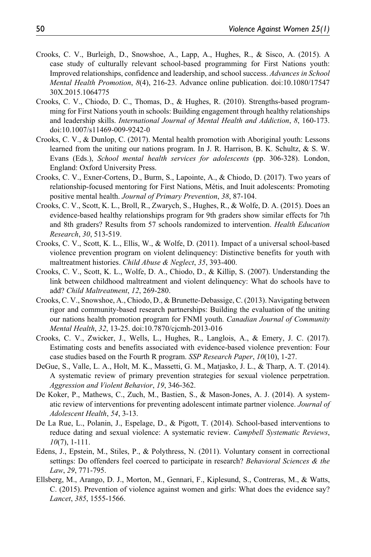- Crooks, C. V., Burleigh, D., Snowshoe, A., Lapp, A., Hughes, R., & Sisco, A. (2015). A case study of culturally relevant school-based programming for First Nations youth: Improved relationships, confidence and leadership, and school success. *Advances in School Mental Health Promotion*, *8*(4), 216-23. Advance online publication. doi:10.1080/17547 30X.2015.1064775
- Crooks, C. V., Chiodo, D. C., Thomas, D., & Hughes, R. (2010). Strengths-based programming for First Nations youth in schools: Building engagement through healthy relationships and leadership skills. *International Journal of Mental Health and Addiction*, *8*, 160-173. doi:10.1007/s11469-009-9242-0
- Crooks, C. V., & Dunlop, C. (2017). Mental health promotion with Aboriginal youth: Lessons learned from the uniting our nations program. In J. R. Harrison, B. K. Schultz, & S. W. Evans (Eds.), *School mental health services for adolescents* (pp. 306-328). London, England: Oxford University Press.
- Crooks, C. V., Exner-Cortens, D., Burm, S., Lapointe, A., & Chiodo, D. (2017). Two years of relationship-focused mentoring for First Nations, Métis, and Inuit adolescents: Promoting positive mental health. *Journal of Primary Prevention*, *38*, 87-104.
- Crooks, C. V., Scott, K. L., Broll, R., Zwarych, S., Hughes, R., & Wolfe, D. A. (2015). Does an evidence-based healthy relationships program for 9th graders show similar effects for 7th and 8th graders? Results from 57 schools randomized to intervention. *Health Education Research*, *30*, 513-519.
- Crooks, C. V., Scott, K. L., Ellis, W., & Wolfe, D. (2011). Impact of a universal school-based violence prevention program on violent delinquency: Distinctive benefits for youth with maltreatment histories. *Child Abuse & Neglect*, *35*, 393-400.
- Crooks, C. V., Scott, K. L., Wolfe, D. A., Chiodo, D., & Killip, S. (2007). Understanding the link between childhood maltreatment and violent delinquency: What do schools have to add? *Child Maltreatment*, *12*, 269-280.
- Crooks, C. V., Snowshoe, A., Chiodo, D., & Brunette-Debassige, C. (2013). Navigating between rigor and community-based research partnerships: Building the evaluation of the uniting our nations health promotion program for FNMI youth. *Canadian Journal of Community Mental Health*, *32*, 13-25. doi:10.7870/cjcmh-2013-016
- Crooks, C. V., Zwicker, J., Wells, L., Hughes, R., Langlois, A., & Emery, J. C. (2017). Estimating costs and benefits associated with evidence-based violence prevention: Four case studies based on the Fourth R program. *SSP Research Paper*, *10*(10), 1-27.
- DeGue, S., Valle, L. A., Holt, M. K., Massetti, G. M., Matjasko, J. L., & Tharp, A. T. (2014). A systematic review of primary prevention strategies for sexual violence perpetration. *Aggression and Violent Behavior*, *19*, 346-362.
- De Koker, P., Mathews, C., Zuch, M., Bastien, S., & Mason-Jones, A. J. (2014). A systematic review of interventions for preventing adolescent intimate partner violence. *Journal of Adolescent Health*, *54*, 3-13.
- De La Rue, L., Polanin, J., Espelage, D., & Pigott, T. (2014). School-based interventions to reduce dating and sexual violence: A systematic review. *Campbell Systematic Reviews*, *10*(7), 1-111.
- Edens, J., Epstein, M., Stiles, P., & Polythress, N. (2011). Voluntary consent in correctional settings: Do offenders feel coerced to participate in research? *Behavioral Sciences & the Law*, *29*, 771-795.
- Ellsberg, M., Arango, D. J., Morton, M., Gennari, F., Kiplesund, S., Contreras, M., & Watts, C. (2015). Prevention of violence against women and girls: What does the evidence say? *Lancet*, *385*, 1555-1566.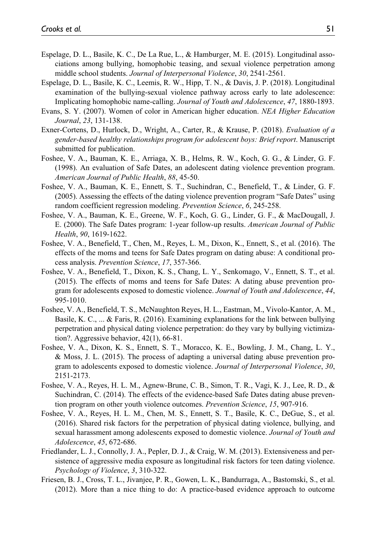- Espelage, D. L., Basile, K. C., De La Rue, L., & Hamburger, M. E. (2015). Longitudinal associations among bullying, homophobic teasing, and sexual violence perpetration among middle school students. *Journal of Interpersonal Violence*, *30*, 2541-2561.
- Espelage, D. L., Basile, K. C., Leemis, R. W., Hipp, T. N., & Davis, J. P. (2018). Longitudinal examination of the bullying-sexual violence pathway across early to late adolescence: Implicating homophobic name-calling. *Journal of Youth and Adolescence*, *47*, 1880-1893.
- Evans, S. Y. (2007). Women of color in American higher education. *NEA Higher Education Journal*, *23*, 131-138.
- Exner-Cortens, D., Hurlock, D., Wright, A., Carter, R., & Krause, P. (2018). *Evaluation of a gender-based healthy relationships program for adolescent boys: Brief report*. Manuscript submitted for publication.
- Foshee, V. A., Bauman, K. E., Arriaga, X. B., Helms, R. W., Koch, G. G., & Linder, G. F. (1998). An evaluation of Safe Dates, an adolescent dating violence prevention program. *American Journal of Public Health*, *88*, 45-50.
- Foshee, V. A., Bauman, K. E., Ennett, S. T., Suchindran, C., Benefield, T., & Linder, G. F. (2005). Assessing the effects of the dating violence prevention program "Safe Dates" using random coefficient regression modeling. *Prevention Science*, *6*, 245-258.
- Foshee, V. A., Bauman, K. E., Greene, W. F., Koch, G. G., Linder, G. F., & MacDougall, J. E. (2000). The Safe Dates program: 1-year follow-up results. *American Journal of Public Health*, *90*, 1619-1622.
- Foshee, V. A., Benefield, T., Chen, M., Reyes, L. M., Dixon, K., Ennett, S., et al. (2016). The effects of the moms and teens for Safe Dates program on dating abuse: A conditional process analysis. *Prevention Science*, *17*, 357-366.
- Foshee, V. A., Benefield, T., Dixon, K. S., Chang, L. Y., Senkomago, V., Ennett, S. T., et al. (2015). The effects of moms and teens for Safe Dates: A dating abuse prevention program for adolescents exposed to domestic violence. *Journal of Youth and Adolescence*, *44*, 995-1010.
- Foshee, V. A., Benefield, T. S., McNaughton Reyes, H. L., Eastman, M., Vivolo-Kantor, A. M., Basile, K. C., ... & Faris, R. (2016). Examining explanations for the link between bullying perpetration and physical dating violence perpetration: do they vary by bullying victimization?. Aggressive behavior, 42(1), 66-81.
- Foshee, V. A., Dixon, K. S., Ennett, S. T., Moracco, K. E., Bowling, J. M., Chang, L. Y., & Moss, J. L. (2015). The process of adapting a universal dating abuse prevention program to adolescents exposed to domestic violence. *Journal of Interpersonal Violence*, *30*, 2151-2173.
- Foshee, V. A., Reyes, H. L. M., Agnew-Brune, C. B., Simon, T. R., Vagi, K. J., Lee, R. D., & Suchindran, C. (2014). The effects of the evidence-based Safe Dates dating abuse prevention program on other youth violence outcomes. *Prevention Science*, *15*, 907-916.
- Foshee, V. A., Reyes, H. L. M., Chen, M. S., Ennett, S. T., Basile, K. C., DeGue, S., et al. (2016). Shared risk factors for the perpetration of physical dating violence, bullying, and sexual harassment among adolescents exposed to domestic violence. *Journal of Youth and Adolescence*, *45*, 672-686.
- Friedlander, L. J., Connolly, J. A., Pepler, D. J., & Craig, W. M. (2013). Extensiveness and persistence of aggressive media exposure as longitudinal risk factors for teen dating violence. *Psychology of Violence*, *3*, 310-322.
- Friesen, B. J., Cross, T. L., Jivanjee, P. R., Gowen, L. K., Bandurraga, A., Bastomski, S., et al. (2012). More than a nice thing to do: A practice-based evidence approach to outcome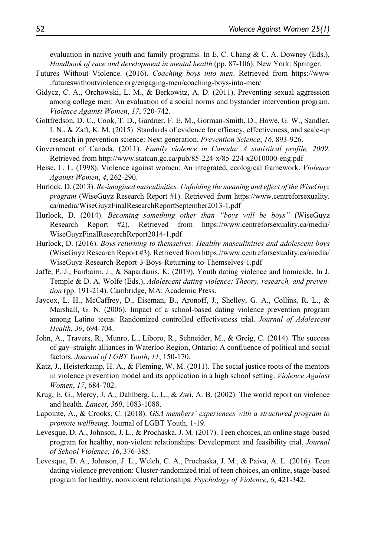evaluation in native youth and family programs. In E. C. Chang & C. A. Downey (Eds.), *Handbook of race and development in mental health* (pp. 87-106). New York: Springer.

- Futures Without Violence. (2016). *Coaching boys into men*. Retrieved from [https://www](https://www.futureswithoutviolence.org/engaging-men/coaching-boys-into-men/) [.futureswithoutviolence.org/engaging-men/coaching-boys-into-men/](https://www.futureswithoutviolence.org/engaging-men/coaching-boys-into-men/)
- Gidycz, C. A., Orchowski, L. M., & Berkowitz, A. D. (2011). Preventing sexual aggression among college men: An evaluation of a social norms and bystander intervention program. *Violence Against Women*, *17*, 720-742.
- Gottfredson, D. C., Cook, T. D., Gardner, F. E. M., Gorman-Smith, D., Howe, G. W., Sandler, I. N., & Zaft, K. M. (2015). Standards of evidence for efficacy, effectiveness, and scale-up research in prevention science: Next generation. *Prevention Science*, *16*, 893-926.
- Government of Canada. (2011). *Family violence in Canada: A statistical profile, 2009*. Retrieved from <http://www.statcan.gc.ca/pub/85-224-x/85-224-x2010000-eng.pdf>
- Heise, L. L. (1998). Violence against women: An integrated, ecological framework. *Violence Against Women*, *4*, 262-290.
- Hurlock, D. (2013). *Re-imagined masculinities: Unfolding the meaning and effect of the WiseGuyz program* (WiseGuyz Research Report #1). Retrieved from https://www.centreforsexuality. ca/media/WiseGuyzFinalResearchReportSeptember2013-1.pdf
- Hurlock, D. (2014). *Becoming something other than "boys will be boys"* (WiseGuyz Research Report #2). Retrieved from https://www.centreforsexuality.ca/media/ WiseGuyzFinalResearchReport2014-1.pdf
- Hurlock, D. (2016). *Boys returning to themselves: Healthy masculinities and adolescent boys* (WiseGuyz Research Report #3). Retrieved from https://www.centreforsexuality.ca/media/ WiseGuyz-Research-Report-3-Boys-Returning-to-Themselves-1.pdf
- Jaffe, P. J., Fairbairn, J., & Sapardanis, K. (2019). Youth dating violence and homicide. In J. Temple & D. A. Wolfe (Eds.), *Adolescent dating violence: Theory, research, and prevention* (pp. 191-214). Cambridge, MA: Academic Press.
- Jaycox, L. H., McCaffrey, D., Eiseman, B., Aronoff, J., Shelley, G. A., Collins, R. L., & Marshall, G. N. (2006). Impact of a school-based dating violence prevention program among Latino teens: Randomized controlled effectiveness trial. *Journal of Adolescent Health*, *39*, 694-704.
- John, A., Travers, R., Munro, L., Liboro, R., Schneider, M., & Greig, C. (2014). The success of gay–straight alliances in Waterloo Region, Ontario: A confluence of political and social factors. *Journal of LGBT Youth*, *11*, 150-170.
- Katz, J., Heisterkamp, H. A., & Fleming, W. M. (2011). The social justice roots of the mentors in violence prevention model and its application in a high school setting. *Violence Against Women*, *17*, 684-702.
- Krug, E. G., Mercy, J. A., Dahlberg, L. L., & Zwi, A. B. (2002). The world report on violence and health. *Lancet*, *360*, 1083-1088.
- Lapointe, A., & Crooks, C. (2018). *GSA members' experiences with a structured program to promote wellbeing*. Journal of LGBT Youth, 1-19.
- Levesque, D. A., Johnson, J. L., & Prochaska, J. M. (2017). Teen choices, an online stage-based program for healthy, non-violent relationships: Development and feasibility trial. *Journal of School Violence*, *16*, 376-385.
- Levesque, D. A., Johnson, J. L., Welch, C. A., Prochaska, J. M., & Paiva, A. L. (2016). Teen dating violence prevention: Cluster-randomized trial of teen choices, an online, stage-based program for healthy, nonviolent relationships. *Psychology of Violence*, *6*, 421-342.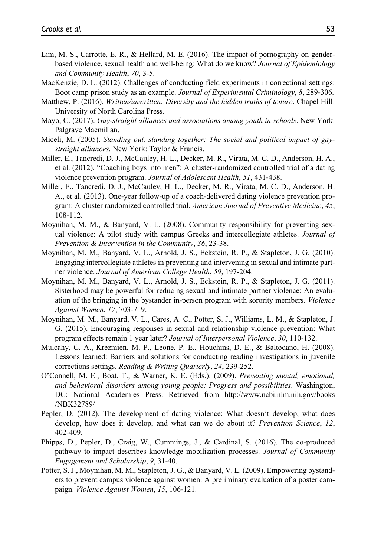- Lim, M. S., Carrotte, E. R., & Hellard, M. E. (2016). The impact of pornography on genderbased violence, sexual health and well-being: What do we know? *Journal of Epidemiology and Community Health*, *70*, 3-5.
- MacKenzie, D. L. (2012). Challenges of conducting field experiments in correctional settings: Boot camp prison study as an example. *Journal of Experimental Criminology*, *8*, 289-306.
- Matthew, P. (2016). *Written/unwritten: Diversity and the hidden truths of tenure*. Chapel Hill: University of North Carolina Press.
- Mayo, C. (2017). *Gay-straight alliances and associations among youth in schools*. New York: Palgrave Macmillan.
- Miceli, M. (2005). *Standing out, standing together: The social and political impact of gaystraight alliances*. New York: Taylor & Francis.
- Miller, E., Tancredi, D. J., McCauley, H. L., Decker, M. R., Virata, M. C. D., Anderson, H. A., et al. (2012). "Coaching boys into men": A cluster-randomized controlled trial of a dating violence prevention program. *Journal of Adolescent Health*, *51*, 431-438.
- Miller, E., Tancredi, D. J., McCauley, H. L., Decker, M. R., Virata, M. C. D., Anderson, H. A., et al. (2013). One-year follow-up of a coach-delivered dating violence prevention program: A cluster randomized controlled trial. *American Journal of Preventive Medicine*, *45*, 108-112.
- Moynihan, M. M., & Banyard, V. L. (2008). Community responsibility for preventing sexual violence: A pilot study with campus Greeks and intercollegiate athletes. *Journal of Prevention & Intervention in the Community*, *36*, 23-38.
- Moynihan, M. M., Banyard, V. L., Arnold, J. S., Eckstein, R. P., & Stapleton, J. G. (2010). Engaging intercollegiate athletes in preventing and intervening in sexual and intimate partner violence. *Journal of American College Health*, *59*, 197-204.
- Moynihan, M. M., Banyard, V. L., Arnold, J. S., Eckstein, R. P., & Stapleton, J. G. (2011). Sisterhood may be powerful for reducing sexual and intimate partner violence: An evaluation of the bringing in the bystander in-person program with sorority members. *Violence Against Women*, *17*, 703-719.
- Moynihan, M. M., Banyard, V. L., Cares, A. C., Potter, S. J., Williams, L. M., & Stapleton, J. G. (2015). Encouraging responses in sexual and relationship violence prevention: What program effects remain 1 year later? *Journal of Interpersonal Violence*, *30*, 110-132.
- Mulcahy, C. A., Krezmien, M. P., Leone, P. E., Houchins, D. E., & Baltodano, H. (2008). Lessons learned: Barriers and solutions for conducting reading investigations in juvenile corrections settings. *Reading & Writing Quarterly*, *24*, 239-252.
- O'Connell, M. E., Boat, T., & Warner, K. E. (Eds.). (2009). *Preventing mental, emotional, and behavioral disorders among young people: Progress and possibilities*. Washington, DC: National Academies Press. Retrieved from [http://www.ncbi.nlm.nih.gov/books](http://www.ncbi.nlm.nih.gov/books/NBK32789/) [/NBK32789/](http://www.ncbi.nlm.nih.gov/books/NBK32789/)
- Pepler, D. (2012). The development of dating violence: What doesn't develop, what does develop, how does it develop, and what can we do about it? *Prevention Science*, *12*, 402-409.
- Phipps, D., Pepler, D., Craig, W., Cummings, J., & Cardinal, S. (2016). The co-produced pathway to impact describes knowledge mobilization processes. *Journal of Community Engagement and Scholarship*, *9*, 31-40.
- Potter, S. J., Moynihan, M. M., Stapleton, J. G., & Banyard, V. L. (2009). Empowering bystanders to prevent campus violence against women: A preliminary evaluation of a poster campaign. *Violence Against Women*, *15*, 106-121.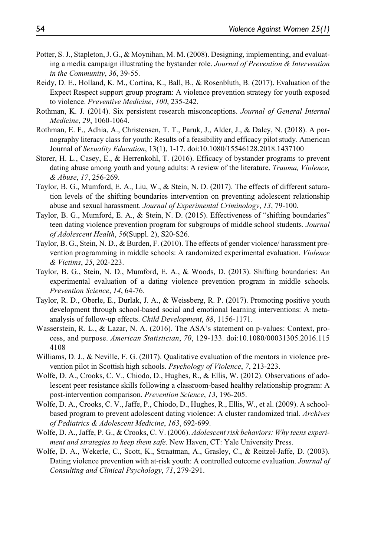- Potter, S. J., Stapleton, J. G., & Moynihan, M. M. (2008). Designing, implementing, and evaluating a media campaign illustrating the bystander role. *Journal of Prevention & Intervention in the Community*, *36*, 39-55.
- Reidy, D. E., Holland, K. M., Cortina, K., Ball, B., & Rosenbluth, B. (2017). Evaluation of the Expect Respect support group program: A violence prevention strategy for youth exposed to violence. *Preventive Medicine*, *100*, 235-242.
- Rothman, K. J. (2014). Six persistent research misconceptions. *Journal of General Internal Medicine*, *29*, 1060-1064.
- Rothman, E. F., Adhia, A., Christensen, T. T., Paruk, J., Alder, J., & Daley, N. (2018). A pornography literacy class for youth: Results of a feasibility and efficacy pilot study. American Journal of *Sexuality Education*, 13(1), 1-17. doi:10.1080/15546128.2018.1437100
- Storer, H. L., Casey, E., & Herrenkohl, T. (2016). Efficacy of bystander programs to prevent dating abuse among youth and young adults: A review of the literature. *Trauma, Violence, & Abuse*, *17*, 256-269.
- Taylor, B. G., Mumford, E. A., Liu, W., & Stein, N. D. (2017). The effects of different saturation levels of the shifting boundaries intervention on preventing adolescent relationship abuse and sexual harassment. *Journal of Experimental Criminology*, *13*, 79-100.
- Taylor, B. G., Mumford, E. A., & Stein, N. D. (2015). Effectiveness of "shifting boundaries" teen dating violence prevention program for subgroups of middle school students. *Journal of Adolescent Health*, *56*(Suppl. 2), S20-S26.
- Taylor, B. G., Stein, N. D., & Burden, F. (2010). The effects of gender violence/ harassment prevention programming in middle schools: A randomized experimental evaluation. *Violence & Victims*, *25*, 202-223.
- Taylor, B. G., Stein, N. D., Mumford, E. A., & Woods, D. (2013). Shifting boundaries: An experimental evaluation of a dating violence prevention program in middle schools. *Prevention Science*, *14*, 64-76.
- Taylor, R. D., Oberle, E., Durlak, J. A., & Weissberg, R. P. (2017). Promoting positive youth development through school-based social and emotional learning interventions: A metaanalysis of follow-up effects. *Child Development*, *88*, 1156-1171.
- Wasserstein, R. L., & Lazar, N. A. (2016). The ASA's statement on p-values: Context, process, and purpose. *American Statistician*, *70*, 129-133. doi:10.1080/00031305.2016.115 4108
- Williams, D. J., & Neville, F. G. (2017). Qualitative evaluation of the mentors in violence prevention pilot in Scottish high schools. *Psychology of Violence*, *7*, 213-223.
- Wolfe, D. A., Crooks, C. V., Chiodo, D., Hughes, R., & Ellis, W. (2012). Observations of adolescent peer resistance skills following a classroom-based healthy relationship program: A post-intervention comparison. *Prevention Science*, *13*, 196-205.
- Wolfe, D. A., Crooks, C. V., Jaffe, P., Chiodo, D., Hughes, R., Ellis, W., et al. (2009). A schoolbased program to prevent adolescent dating violence: A cluster randomized trial. *Archives of Pediatrics & Adolescent Medicine*, *163*, 692-699.
- Wolfe, D. A., Jaffe, P. G., & Crooks, C. V. (2006). *Adolescent risk behaviors: Why teens experiment and strategies to keep them safe*. New Haven, CT: Yale University Press.
- Wolfe, D. A., Wekerle, C., Scott, K., Straatman, A., Grasley, C., & Reitzel-Jaffe, D. (2003). Dating violence prevention with at-risk youth: A controlled outcome evaluation. *Journal of Consulting and Clinical Psychology*, *71*, 279-291.